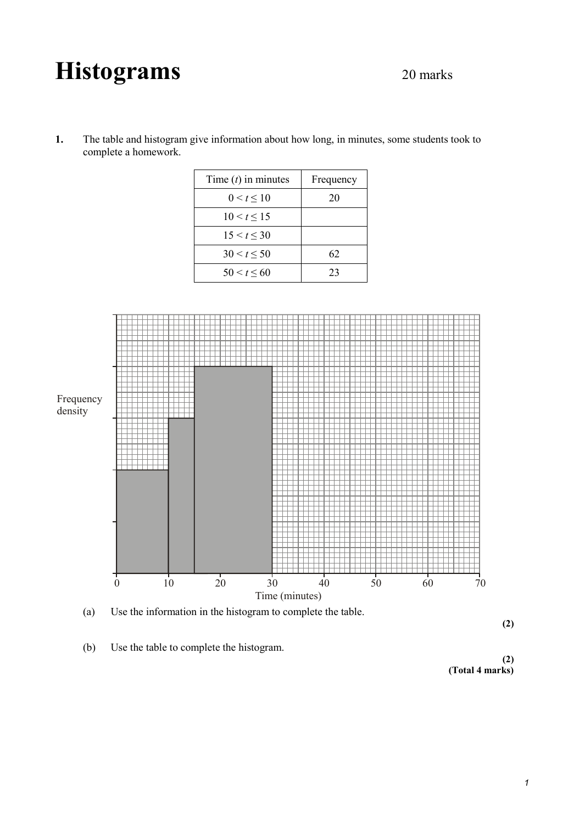## Histograms 20 marks

**1.** The table and histogram give information about how long, in minutes, some students took to complete a homework.

| Time $(t)$ in minutes | Frequency |
|-----------------------|-----------|
| $0 \le t \le 10$      | 20        |
| $10 < t \le 15$       |           |
| $15 < t \leq 30$      |           |
| $30 < t \leq 50$      | 62        |
| 50 < t < 60           | 23        |





**(2)**

(b) Use the table to complete the histogram.

**(2) (Total 4 marks)**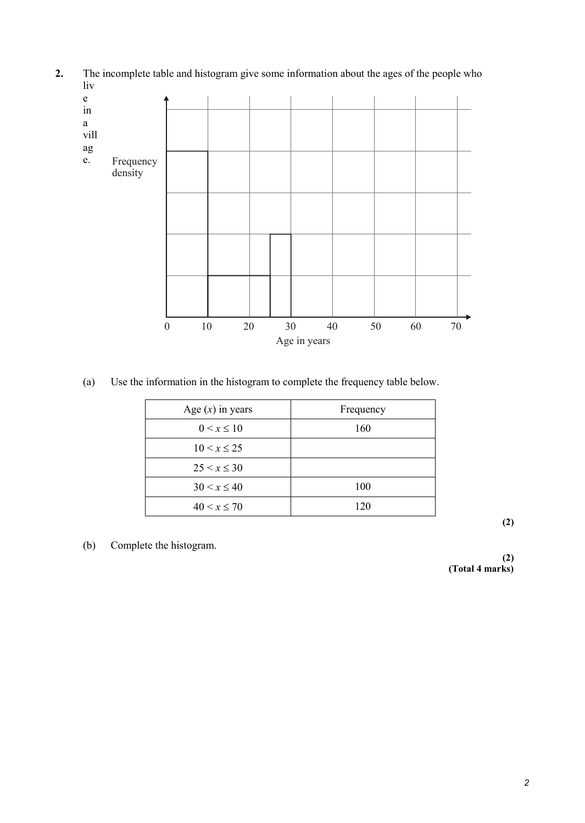**2.** The incomplete table and histogram give some information about the ages of the people who liv



(a) Use the information in the histogram to complete the frequency table below.

| Age $(x)$ in years | Frequency |
|--------------------|-----------|
| $0 \le x \le 10$   | 160       |
| $10 < x \le 25$    |           |
| $25 < x \leq 30$   |           |
| $30 < x \le 40$    | 100       |
| $40 < x \le 70$    | 120       |

(b) Complete the histogram.

**(2)**

**(2)**

**(Total 4 marks)**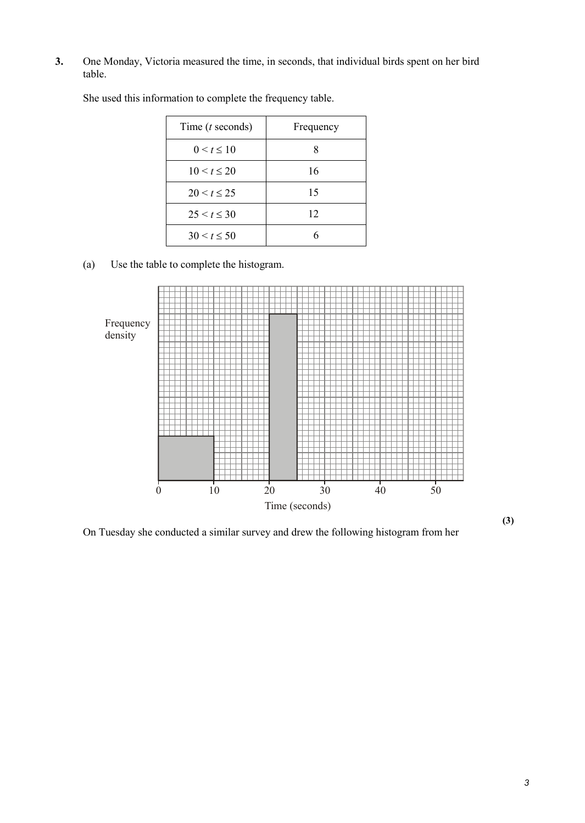**3.** One Monday, Victoria measured the time, in seconds, that individual birds spent on her bird table.

| Time ( $t$ seconds) | Frequency |
|---------------------|-----------|
| $0 < t \leq 10$     | 8         |
| $10 < t \leq 20$    | 16        |
| 20 < t < 25         | 15        |
| 25 < t < 30         | 12        |
| $30 < t \leq 50$    |           |

She used this information to complete the frequency table.

(a) Use the table to complete the histogram.



On Tuesday she conducted a similar survey and drew the following histogram from her

**(3)**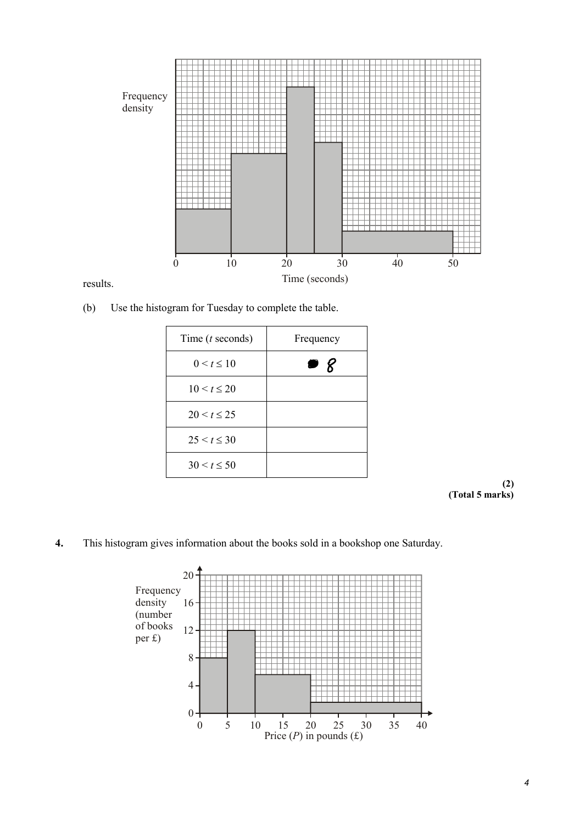

results.

(b) Use the histogram for Tuesday to complete the table.

| Time $(t$ seconds) | Frequency           |
|--------------------|---------------------|
| $0 \le t \le 10$   | 8 <sup>2</sup><br>C |
| $10 < t \leq 20$   |                     |
| $20 < t \le 25$    |                     |
| $25 < t \leq 30$   |                     |
| $30 < t \leq 50$   |                     |

**(2) (Total 5 marks)**

**4.** This histogram gives information about the books sold in a bookshop one Saturday.

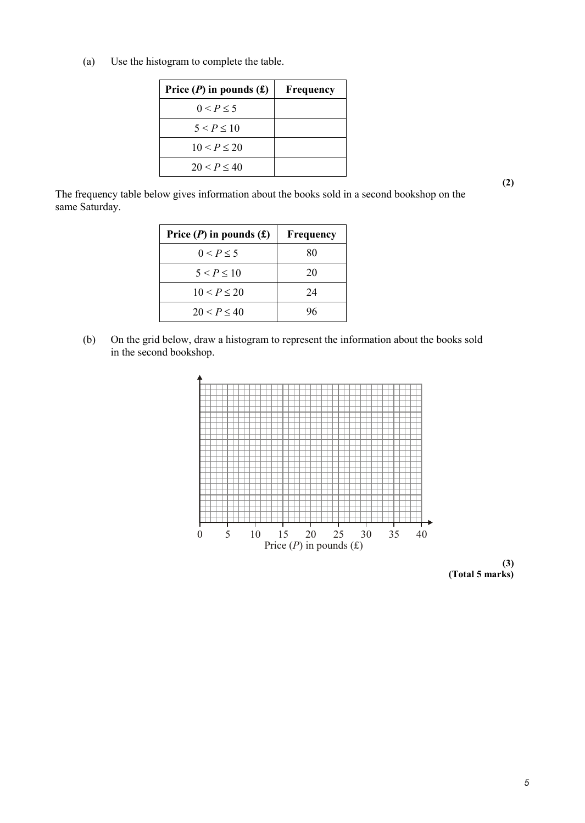(a) Use the histogram to complete the table.

| Price $(P)$ in pounds $(f)$ | Frequency |
|-----------------------------|-----------|
| 0 < P < 5                   |           |
| 5 < P < 10                  |           |
| 10 < P < 20                 |           |
| 20 < P < 40                 |           |

The frequency table below gives information about the books sold in a second bookshop on the same Saturday.

| Price $(P)$ in pounds $(f)$ | <b>Frequency</b> |
|-----------------------------|------------------|
| 0 < P < 5                   | 80               |
| $5 < P \le 10$              | 20               |
| 10 < P < 20                 | 24               |
| 20 < P < 40                 | 96               |

(b) On the grid below, draw a histogram to represent the information about the books sold in the second bookshop.





**(2)**